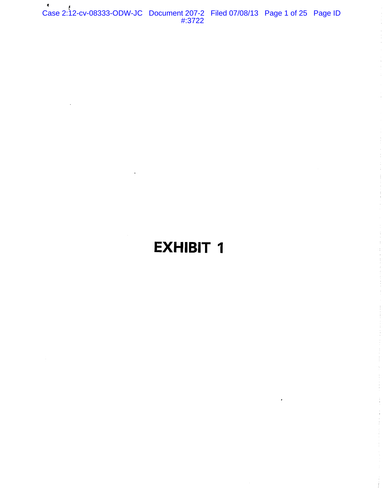Case 2:12-cv-08333-ODW-JC Document 207-2 Filed 07/08/13 Page 1 of 25 Page ID #:3722

# **EXHIBIT 1**

÷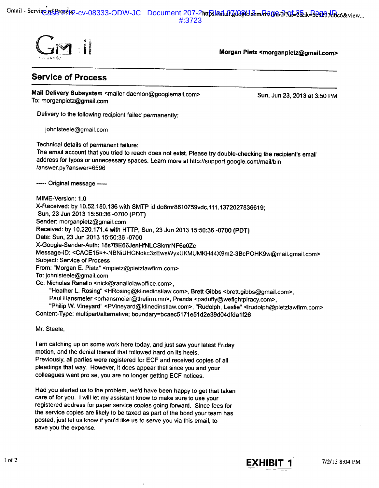Gmail - Service gf Brozes 2-CV-08333-ODW-JC Document 207-2https://ada0.g60g/elcom/mag/a/and-2&ik=Be0233d0c6&view... #:3723



Morgan Pietz <morganpietz@gmail.com>

## **Service of Process**

Mail Delivery Subsystem <mailer-daemon@googlemail.com> To: morganpietz@gmail.com

Sun, Jun 23, 2013 at 3:50 PM

Delivery to the following recipient failed permanently:

johnIsteele@gmail.com

Technical details of permanent failure:

The email account that you tried to reach does not exist. Please try double-checking the recipient's email address for typos or unnecessary spaces. Learn more at http://support.google.com/mail/bin /answer.py?answer=6596

----- Original message -----

MIME-Version: 1.0 X-Received: by 10.52.180.136 with SMTP id do8mr8610759vdc.111.1372027836619; Sun, 23 Jun 2013 15:50:36 -0700 (PDT) Sender: morganpietz@gmail.com Received: by 10.220.171.4 with HTTP; Sun, 23 Jun 2013 15:50:36 -0700 (PDT) Date: Sun, 23 Jun 2013 15:50:36 -0700 X-Google-Sender-Auth: 18s7BE66JenHfNLCSkmrNF6e0Zc Message-ID: <CACE15=+-NBNiUHGNdkc3zEwsWyxUKMUMKH44X9m2-3BcPOHK9w@mail.gmail.com> **Subject: Service of Process** From: "Morgan E. Pietz" <mpietz@pietzlawfirm.com> To: johnlsteele@gmail.com Cc: Nicholas Ranallo <nick@ranallolawoffice.com>, "Heather L. Rosing" <HRosing@klinedinstlaw.com>, Brett Gibbs <brett.gibbs@gmail.com>, Paul Hansmeier <prhansmeier@thefirm.mn>, Prenda <paduffy@wefightpiracy.com>, "Philip W. Vineyard" <PVineyard@klinedinstlaw.com>, "Rudolph, Leslie" <Irudolph@pietzlawfirm.com>

Content-Type: multipart/alternative; boundary=bcaec5171e51d2e39d04dfda1f26

Mr. Steele.

I am catching up on some work here today, and just saw your latest Friday motion, and the denial thereof that followed hard on its heels. Previously, all parties were registered for ECF and received copies of all pleadings that way. However, it does appear that since you and your colleagues went pro se, you are no longer getting ECF notices.

Had you alerted us to the problem, we'd have been happy to get that taken care of for you. I will let my assistant know to make sure to use your registered address for paper service copies going forward. Since fees for the service copies are likely to be taxed as part of the bond your team has posted, just let us know if you'd like us to serve you via this email, to save you the expense.

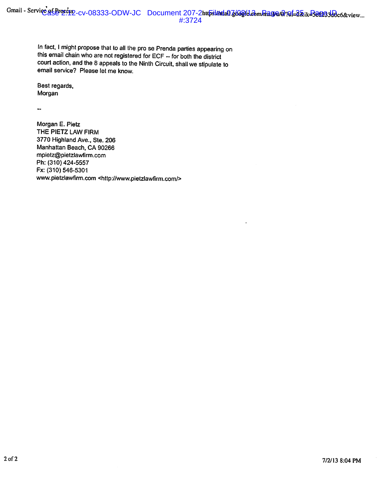In fact, I might propose that to all the pro se Prenda parties appearing on this email chain who are not registered for ECF -- for both the district court action, and the 8 appeals to the Ninth Circuit, shall we stipulate to email service? Please let me know.

Best regards, Morgan

 $\ddot{\phantom{1}}$ 

Morgan E. Pietz THE PIETZ LAW FIRM 3770 Highland Ave., Ste. 206 Manhattan Beach, CA 90266 mpietz@pietzlawfirm.com Ph: (310) 424-5557 Fx: (310) 546-5301 www.pietzlawfirm.com <http://www.pietzlawfirm.com/>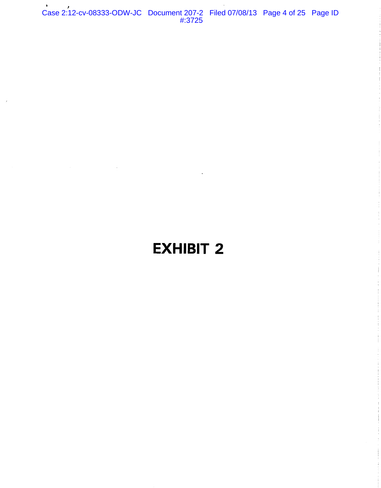Case 2:12-cv-08333-ODW-JC Document 207-2 Filed 07/08/13 Page 4 of 25 Page ID #:3725

# **EXHIBIT 2**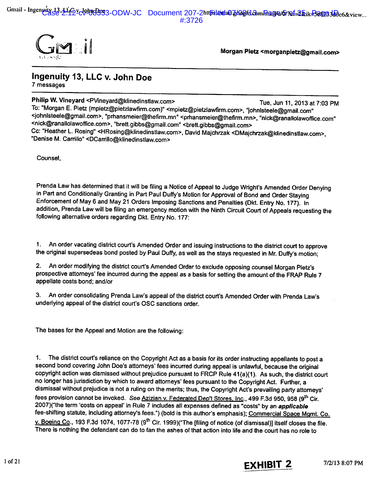Gmail - Ingenuty 13.416v-Johndoss3-ODW-JC Document 207-2https://odo.jkog/clcom/mag/e/670f=2&ik=Be8033d0c6&view...  $\#3726$ 



Morgan Pietz <morganpietz@gmail.com>

### Ingenuity 13, LLC v. John Doe 7 messages

Philip W. Vineyard <PVineyard@klinedinstlaw.com> Tue. Jun 11. 2013 at 7:03 PM To: "Morgan E. Pietz (mpietz@pietzlawfirm.com)" <mpietz@pietzlawfirm.com>, "johnlsteele@gmail.com" <johnlsteele@gmail.com>, "prhansmeier@thefirm.mn" <prhansmeier@thefirm.mn>, "nick@ranallolawoffice.com" <nick@ranallolawoffice.com>, "brett.gibbs@gmail.com" <brett.gibbs@gmail.com> Cc: "Heather L. Rosing" <HRosing@klinedinstlaw.com>, David Majchrzak <DMajchrzak@klinedinstlaw.com>, "Denise M. Carrillo" <DCarrillo@klinedinstlaw.com>

Counsel.

Prenda Law has determined that it will be filing a Notice of Appeal to Judge Wright's Amended Order Denying in Part and Conditionally Granting in Part Paul Duffy's Motion for Approval of Bond and Order Staying Enforcement of May 6 and May 21 Orders Imposing Sanctions and Penalties (Dkt. Entry No. 177). In addition, Prenda Law will be filing an emergency motion with the Ninth Circuit Court of Appeals requesting the following alternative orders regarding Dkt. Entry No. 177:

An order vacating district court's Amended Order and issuing instructions to the district court to approve  $1<sup>1</sup>$ the original supersedeas bond posted by Paul Duffy, as well as the stays requested in Mr. Duffy's motion;

2. An order modifying the district court's Amended Order to exclude opposing counsel Morgan Pietz's prospective attorneys' fee incurred during the appeal as a basis for setting the amount of the FRAP Rule 7 appellate costs bond: and/or

3. An order consolidating Prenda Law's appeal of the district court's Amended Order with Prenda Law's underlying appeal of the district court's OSC sanctions order.

The bases for the Appeal and Motion are the following:

The district court's reliance on the Copyright Act as a basis for its order instructing appellants to post a  $1.$ second bond covering John Doe's attorneys' fees incurred during appeal is unlawful, because the original copyright action was dismissed without prejudice pursuant to FRCP Rule 41(a)(1). As such, the district court no longer has jurisdiction by which to award attorneys' fees pursuant to the Copyright Act. Further, a dismissal without prejudice is not a ruling on the merits; thus, the Copyright Act's prevailing party attorneys' fees provision cannot be invoked. See Azizian v. Federated Dep't Stores, Inc., 499 F.3d 950, 958 (9th Cir. 2007)("the term 'costs on appeal' in Rule 7 includes all expenses defined as "costs" by an applicable fee-shifting statute, including attorney's fees.") (bold is this author's emphasis); Commercial Space Mgmt. Co. v. Boeing Co., 193 F.3d 1074, 1077-78 (9<sup>th</sup> Cir. 1999) ("The [filing of notice (of dismissal)] itself closes the file. There is nothing the defendant can do to fan the ashes of that action into life and the court has no role to

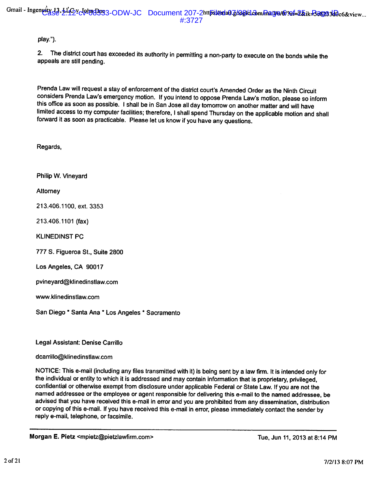#### play.").

2. The district court has exceeded its authority in permitting a non-party to execute on the bonds while the appeals are still pending.

Prenda Law will request a stay of enforcement of the district court's Amended Order as the Ninth Circuit considers Prenda Law's emergency motion. If you intend to oppose Prenda Law's motion, please so inform this office as soon as possible. I shall be in San Jose all day tomorrow on another matter and will have limited access to my computer facilities; therefore, I shall spend Thursday on the applicable motion and shall forward it as soon as practicable. Please let us know if you have any questions.

Regards,

Philip W. Vinevard

Attorney

213.406.1100. ext. 3353

213.406.1101 (fax)

**KLINEDINST PC** 

777 S. Figueroa St., Suite 2800

Los Angeles, CA 90017

pvineyard@klinedinstlaw.com

www.klinedinstlaw.com

San Diego \* Santa Ana \* Los Angeles \* Sacramento

Legal Assistant: Denise Carrillo

dcarrillo@klinedinstlaw.com

NOTICE: This e-mail (including any files transmitted with it) is being sent by a law firm. It is intended only for the individual or entity to which it is addressed and may contain information that is proprietary, privileged, confidential or otherwise exempt from disclosure under applicable Federal or State Law. If you are not the named addressee or the employee or agent responsible for delivering this e-mail to the named addressee, be advised that you have received this e-mail in error and you are prohibited from any dissemination, distribution or copying of this e-mail. If you have received this e-mail in error, please immediately contact the sender by reply e-mail, telephone, or facsimile.

Morgan E. Pietz <mpietz@pietzlawfirm.com>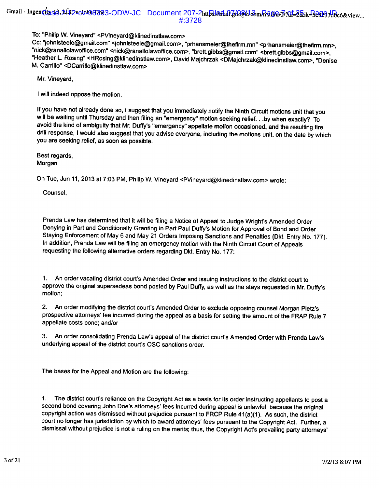To: "Philip W. Vineyard" <PVineyard@klinedinstlaw.com>

Cc: "johnisteele@gmail.com" <johnisteele@gmail.com>, "prhansmeier@thefirm.mn" <prhansmeier@thefirm.mn>, "nick@ranallolawoffice.com" <nick@ranallolawoffice.com>, "brett.gibbs@gmail.com" <brett.gibbs@gmail.com>, "Heather L. Rosing" <HRosing@klinedinstlaw.com>, David Majchrzak <DMajchrzak@klinedinstlaw.com>, "Denise M. Carrillo" <DCarrillo@klinedinstlaw.com>

Mr. Vineyard,

I will indeed oppose the motion.

If you have not already done so, I suggest that you immediately notify the Ninth Circuit motions unit that you will be waiting until Thursday and then filing an "emergency" motion seeking relief. . .by when exactly? To avoid the kind of ambiguity that Mr. Duffy's "emergency" appellate motion occasioned, and the resulting fire drill response, I would also suggest that you advise everyone, including the motions unit, on the date by which you are seeking relief, as soon as possible.

Best regards, Morgan

On Tue, Jun 11, 2013 at 7:03 PM, Philip W. Vineyard <PVineyard@klinedinstlaw.com> wrote:

Counsel,

Prenda Law has determined that it will be filing a Notice of Appeal to Judge Wright's Amended Order Denying in Part and Conditionally Granting in Part Paul Duffy's Motion for Approval of Bond and Order Staying Enforcement of May 6 and May 21 Orders Imposing Sanctions and Penalties (Dkt. Entry No. 177). In addition, Prenda Law will be filing an emergency motion with the Ninth Circuit Court of Appeals requesting the following alternative orders regarding Dkt. Entry No. 177:

An order vacating district court's Amended Order and issuing instructions to the district court to approve the original supersedeas bond posted by Paul Duffy, as well as the stays requested in Mr. Duffy's motion;

An order modifying the district court's Amended Order to exclude opposing counsel Morgan Pietz's  $2.$ prospective attorneys' fee incurred during the appeal as a basis for setting the amount of the FRAP Rule 7 appellate costs bond; and/or

3. An order consolidating Prenda Law's appeal of the district court's Amended Order with Prenda Law's underlying appeal of the district court's OSC sanctions order.

The bases for the Appeal and Motion are the following:

The district court's reliance on the Copyright Act as a basis for its order instructing appellants to post a  $\mathbf{1}$ . second bond covering John Doe's attorneys' fees incurred during appeal is unlawful, because the original copyright action was dismissed without prejudice pursuant to FRCP Rule 41(a)(1). As such, the district court no longer has jurisdiction by which to award attorneys' fees pursuant to the Copyright Act. Further, a dismissal without prejudice is not a ruling on the merits; thus, the Copyright Act's prevailing party attorneys'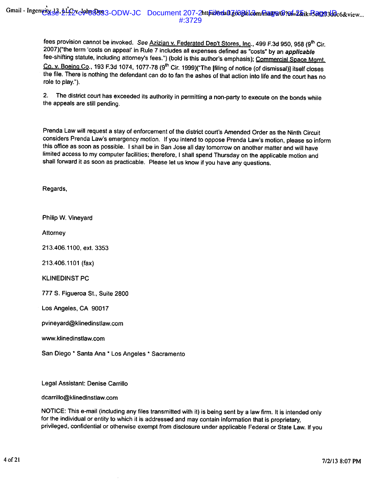fees provision cannot be invoked. See Azizian v. Federated Dep't Stores, Inc., 499 F.3d 950, 958 (9th Cir. 2007)("the term 'costs on appeal' in Rule 7 includes all expenses defined as "costs" by an applicable fee-shifting statute, including attorney's fees.") (bold is this author's emphasis); Commercial Space Mgmt. Co. v. Boeing Co., 193 F.3d 1074, 1077-78 (9<sup>th</sup> Cir. 1999)("The [filing of notice (of dismissal)] itself closes the file. There is nothing the defendant can do to fan the ashes of that action into life and the court has no role to play.").

 $2.$ The district court has exceeded its authority in permitting a non-party to execute on the bonds while the appeals are still pending.

Prenda Law will request a stay of enforcement of the district court's Amended Order as the Ninth Circuit considers Prenda Law's emergency motion. If you intend to oppose Prenda Law's motion, please so inform this office as soon as possible. I shall be in San Jose all day tomorrow on another matter and will have limited access to my computer facilities; therefore, I shall spend Thursday on the applicable motion and shall forward it as soon as practicable. Please let us know if you have any questions.

Regards,

Philip W. Vineyard

Attorney

213.406.1100, ext. 3353

213.406.1101 (fax)

**KLINEDINST PC** 

777 S. Figueroa St., Suite 2800

Los Angeles, CA 90017

pvineyard@klinedinstlaw.com

www.klinedinstlaw.com

San Diego \* Santa Ana \* Los Angeles \* Sacramento

Legal Assistant: Denise Carrillo

dcarrillo@klinedinstlaw.com

NOTICE: This e-mail (including any files transmitted with it) is being sent by a law firm. It is intended only for the individual or entity to which it is addressed and may contain information that is proprietary, privileged, confidential or otherwise exempt from disclosure under applicable Federal or State Law. If you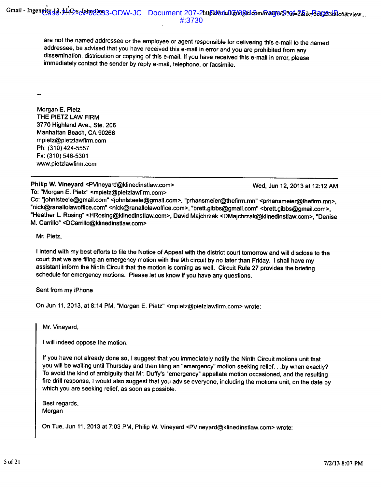are not the named addressee or the employee or agent responsible for delivering this e-mail to the named addressee, be advised that you have received this e-mail in error and you are prohibited from any dissemination, distribution or copying of this e-mail. If you have received this e-mail in error, please immediately contact the sender by reply e-mail, telephone, or facsimile.

Morgan E. Pietz THE PIETZ LAW FIRM 3770 Highland Ave., Ste. 206 Manhattan Beach, CA 90266 mpietz@pietzlawfirm.com Ph: (310) 424-5557 Fx: (310) 546-5301 www.pietzlawfirm.com

Philip W. Vineyard <PVineyard@klinedinstlaw.com> To: "Morgan E. Pietz" <mpietz@pietzlawfirm.com>

Wed, Jun 12, 2013 at 12:12 AM

Cc: "iohnisteele@gmail.com" <johnisteele@gmail.com>, "prhansmeier@thefirm.mn" <prhansmeier@thefirm.mn>, "nick@ranallolawoffice.com" <nick@ranallolawoffice.com>, "brett.gibbs@gmail.com" <brett.gibbs@gmail.com>. "Heather L. Rosing" <HRosing@klinedinstlaw.com>, David Majchrzak <DMajchrzak@klinedinstlaw.com>, "Denise M. Carrillo" <DCarrillo@klinedinstlaw.com>

Mr. Pietz.

I intend with my best efforts to file the Notice of Appeal with the district court tomorrow and will disclose to the court that we are filing an emergency motion with the 9th circuit by no later than Friday. I shall have my assistant inform the Ninth Circuit that the motion is coming as well. Circuit Rule 27 provides the briefing schedule for emergency motions. Please let us know if you have any questions.

Sent from my iPhone

On Jun 11, 2013, at 8:14 PM, "Morgan E. Pietz" <mpietz@pietzlawfirm.com> wrote:

Mr. Vineyard,

I will indeed oppose the motion.

If you have not already done so, I suggest that you immediately notify the Ninth Circuit motions unit that you will be waiting until Thursday and then filing an "emergency" motion seeking relief. . .by when exactly? To avoid the kind of ambiguity that Mr. Duffy's "emergency" appellate motion occasioned, and the resulting fire drill response, I would also suggest that you advise everyone, including the motions unit, on the date by which you are seeking relief, as soon as possible.

Best regards, Morgan

On Tue, Jun 11, 2013 at 7:03 PM, Philip W. Vineyard <PVineyard@klinedinstlaw.com> wrote: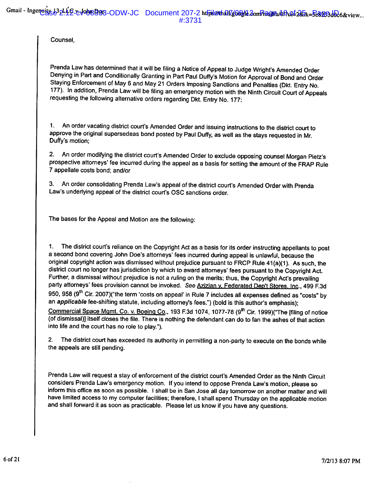Counsel.

Prenda Law has determined that it will be filing a Notice of Appeal to Judge Wright's Amended Order Denying in Part and Conditionally Granting in Part Paul Duffy's Motion for Approval of Bond and Order Staying Enforcement of May 6 and May 21 Orders Imposing Sanctions and Penalties (Dkt. Entry No. 177). In addition, Prenda Law will be filing an emergency motion with the Ninth Circuit Court of Appeals requesting the following alternative orders regarding Dkt. Entry No. 177:

An order vacating district court's Amended Order and issuing instructions to the district court to  $\mathbf{1}$ . approve the original supersedeas bond posted by Paul Duffy, as well as the stays requested in Mr. Duffy's motion:

2. An order modifying the district court's Amended Order to exclude opposing counsel Morgan Pietz's prospective attorneys' fee incurred during the appeal as a basis for setting the amount of the FRAP Rule 7 appellate costs bond; and/or

3. An order consolidating Prenda Law's appeal of the district court's Amended Order with Prenda Law's underlying appeal of the district court's OSC sanctions order.

The bases for the Appeal and Motion are the following:

 $1.$ The district court's reliance on the Copyright Act as a basis for its order instructing appellants to post a second bond covering John Doe's attorneys' fees incurred during appeal is unlawful, because the original copyright action was dismissed without prejudice pursuant to FRCP Rule 41(a)(1). As such, the district court no longer has jurisdiction by which to award attorneys' fees pursuant to the Copyright Act. Further, a dismissal without prejudice is not a ruling on the merits; thus, the Copyright Act's prevailing party attorneys' fees provision cannot be invoked. See Azizian v. Federated Dep't Stores, Inc., 499 F.3d 950, 958 (9<sup>th</sup> Cir. 2007)("the term 'costs on appeal' in Rule 7 includes all expenses defined as "costs" by an applicable fee-shifting statute, including attorney's fees.") (bold is this author's emphasis); Commercial Space Mgmt. Co. v. Boeing Co., 193 F.3d 1074, 1077-78 (9<sup>th</sup> Cir. 1999) ("The Ifiling of notice (of dismissal)] itself closes the file. There is nothing the defendant can do to fan the ashes of that action into life and the court has no role to play.").

The district court has exceeded its authority in permitting a non-party to execute on the bonds while  $2.$ the appeals are still pending.

Prenda Law will request a stay of enforcement of the district court's Amended Order as the Ninth Circuit considers Prenda Law's emergency motion. If you intend to oppose Prenda Law's motion, please so inform this office as soon as possible. I shall be in San Jose all day tomorrow on another matter and will have limited access to my computer facilities; therefore, I shall spend Thursday on the applicable motion and shall forward it as soon as practicable. Please let us know if you have any questions.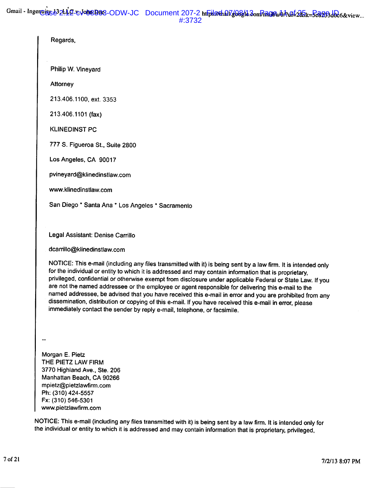| Regards,                                                                                                                                                                                                                                                                                                                                                                                                                                                                                                                                                                                                                                                                                                                                        |
|-------------------------------------------------------------------------------------------------------------------------------------------------------------------------------------------------------------------------------------------------------------------------------------------------------------------------------------------------------------------------------------------------------------------------------------------------------------------------------------------------------------------------------------------------------------------------------------------------------------------------------------------------------------------------------------------------------------------------------------------------|
| Philip W. Vineyard                                                                                                                                                                                                                                                                                                                                                                                                                                                                                                                                                                                                                                                                                                                              |
| Attorney                                                                                                                                                                                                                                                                                                                                                                                                                                                                                                                                                                                                                                                                                                                                        |
| 213.406.1100, ext. 3353                                                                                                                                                                                                                                                                                                                                                                                                                                                                                                                                                                                                                                                                                                                         |
| 213.406.1101 (fax)                                                                                                                                                                                                                                                                                                                                                                                                                                                                                                                                                                                                                                                                                                                              |
| <b>KLINEDINST PC</b>                                                                                                                                                                                                                                                                                                                                                                                                                                                                                                                                                                                                                                                                                                                            |
| 777 S. Figueroa St., Suite 2800                                                                                                                                                                                                                                                                                                                                                                                                                                                                                                                                                                                                                                                                                                                 |
| Los Angeles, CA 90017                                                                                                                                                                                                                                                                                                                                                                                                                                                                                                                                                                                                                                                                                                                           |
| pvineyard@klinedinstlaw.com                                                                                                                                                                                                                                                                                                                                                                                                                                                                                                                                                                                                                                                                                                                     |
| www.klinedinstlaw.com                                                                                                                                                                                                                                                                                                                                                                                                                                                                                                                                                                                                                                                                                                                           |
| San Diego * Santa Ana * Los Angeles * Sacramento                                                                                                                                                                                                                                                                                                                                                                                                                                                                                                                                                                                                                                                                                                |
|                                                                                                                                                                                                                                                                                                                                                                                                                                                                                                                                                                                                                                                                                                                                                 |
| Legal Assistant: Denise Carrillo                                                                                                                                                                                                                                                                                                                                                                                                                                                                                                                                                                                                                                                                                                                |
| dcarrillo@klinedinstlaw.com                                                                                                                                                                                                                                                                                                                                                                                                                                                                                                                                                                                                                                                                                                                     |
| NOTICE: This e-mail (including any files transmitted with it) is being sent by a law firm. It is intended only<br>for the individual or entity to which it is addressed and may contain information that is proprietary,<br>privileged, confidential or otherwise exempt from disclosure under applicable Federal or State Law. If you<br>are not the named addressee or the employee or agent responsible for delivering this e-mail to the<br>named addressee, be advised that you have received this e-mail in error and you are prohibited from any<br>dissemination, distribution or copying of this e-mail. If you have received this e-mail in error, please<br>immediately contact the sender by reply e-mail, telephone, or facsimile. |
|                                                                                                                                                                                                                                                                                                                                                                                                                                                                                                                                                                                                                                                                                                                                                 |
|                                                                                                                                                                                                                                                                                                                                                                                                                                                                                                                                                                                                                                                                                                                                                 |
| Morgan E. Pietz<br>THE PIETZ LAW FIRM<br>3770 Highland Ave., Ste. 206<br>Manhattan Beach, CA 90266<br>mpietz@pietzlawfirm.com<br>Ph: (310) 424-5557<br>Fx: (310) 546-5301<br>www.pietzlawfirm.com                                                                                                                                                                                                                                                                                                                                                                                                                                                                                                                                               |

NOTICE: This e-mail (including any files transmitted with it) is being sent by a law firm. It is intended only for the individual or entity to which it is addressed and may contain information that is proprietary, privileged,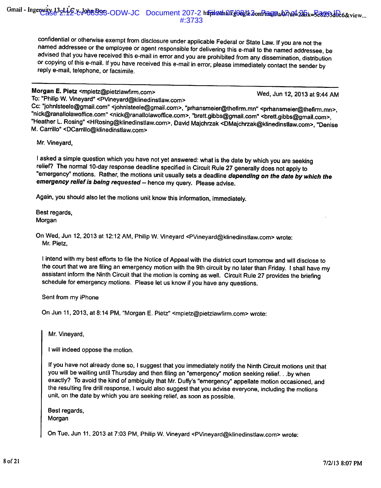confidential or otherwise exempt from disclosure under applicable Federal or State Law. If you are not the named addressee or the employee or agent responsible for delivering this e-mail to the named addressee, be advised that you have received this e-mail in error and you are prohibited from any dissemination, distribution or copying of this e-mail. If you have received this e-mail in error, please immediately contact the sender by reply e-mail, telephone, or facsimile.

### Morgan E. Pietz <mpietz@pietzlawfirm.com>

Wed, Jun 12, 2013 at 9:44 AM

To: "Philip W. Vineyard" <PVineyard@klinedinstlaw.com>

Cc: "johnisteele@gmail.com" <johnisteele@gmail.com>, "prhansmeier@thefirm.mn" <prhansmeier@thefirm.mn>, "nick@ranallolawoffice.com" <nick@ranallolawoffice.com>, "brett.gibbs@gmail.com" <brett.gibbs@gmail.com>, "Heather L. Rosing" <HRosing@klinedinstlaw.com>, David Majchrzak <DMajchrzak@klinedinstlaw.com>, "Denise M. Carrillo" <DCarrillo@klinedinstlaw.com>

Mr. Vineyard,

I asked a simple question which you have not yet answered: what is the date by which you are seeking relief? The normal 10-day response deadline specified in Circuit Rule 27 generally does not apply to "emergency" motions. Rather, the motions unit usually sets a deadline depending on the date by which the emergency relief is being requested -- hence my query. Please advise.

Again, you should also let the motions unit know this information, immediately.

Best regards. Morgan

On Wed, Jun 12, 2013 at 12:12 AM, Philip W. Vineyard <PVineyard@klinedinstlaw.com> wrote: Mr. Pietz.

I intend with my best efforts to file the Notice of Appeal with the district court tomorrow and will disclose to the court that we are filing an emergency motion with the 9th circuit by no later than Friday. I shall have my assistant inform the Ninth Circuit that the motion is coming as well. Circuit Rule 27 provides the briefing schedule for emergency motions. Please let us know if you have any questions.

Sent from my iPhone

On Jun 11, 2013, at 8:14 PM, "Morgan E. Pietz" <mpietz@pietzlawfirm.com> wrote:

Mr. Vineyard,

I will indeed oppose the motion.

If you have not already done so, I suggest that you immediately notify the Ninth Circuit motions unit that you will be waiting until Thursday and then filing an "emergency" motion seeking relief. . .by when exactly? To avoid the kind of ambiguity that Mr. Duffy's "emergency" appellate motion occasioned, and the resulting fire drill response, I would also suggest that you advise everyone, including the motions unit, on the date by which you are seeking relief, as soon as possible.

Best regards, Morgan

On Tue, Jun 11, 2013 at 7:03 PM, Philip W. Vineyard <PVineyard@klinedinstlaw.com> wrote: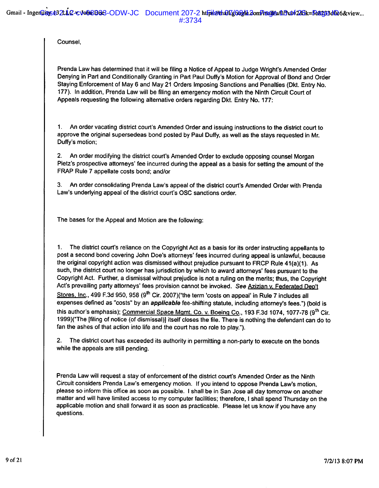Counsel.

Prenda Law has determined that it will be filing a Notice of Appeal to Judge Wright's Amended Order Denying in Part and Conditionally Granting in Part Paul Duffy's Motion for Approval of Bond and Order Staying Enforcement of May 6 and May 21 Orders Imposing Sanctions and Penalties (Dkt. Entry No. 177). In addition, Prenda Law will be filing an emergency motion with the Ninth Circuit Court of Appeals requesting the following alternative orders regarding Dkt. Entry No. 177:

An order vacating district court's Amended Order and issuing instructions to the district court to  $1.$ approve the original supersedeas bond posted by Paul Duffy, as well as the stays requested in Mr. Duffy's motion;

2. An order modifying the district court's Amended Order to exclude opposing counsel Morgan Pietz's prospective attorneys' fee incurred during the appeal as a basis for setting the amount of the FRAP Rule 7 appellate costs bond; and/or

3. An order consolidating Prenda Law's appeal of the district court's Amended Order with Prenda Law's underlying appeal of the district court's OSC sanctions order.

The bases for the Appeal and Motion are the following:

The district court's reliance on the Copyright Act as a basis for its order instructing appellants to  $1.$ post a second bond covering John Doe's attorneys' fees incurred during appeal is unlawful, because the original copyright action was dismissed without prejudice pursuant to FRCP Rule 41(a)(1). As such, the district court no longer has jurisdiction by which to award attorneys' fees pursuant to the Copyright Act. Further, a dismissal without prejudice is not a ruling on the merits; thus, the Copyright Act's prevailing party attorneys' fees provision cannot be invoked. See Azizian v. Federated Dep't Stores, Inc., 499 F.3d 950, 958 (9<sup>th</sup> Cir. 2007)("the term 'costs on appeal' in Rule 7 includes all expenses defined as "costs" by an applicable fee-shifting statute, including attorney's fees.") (bold is this author's emphasis); Commercial Space Mgmt. Co. v. Boeing Co., 193 F.3d 1074, 1077-78 (9<sup>th</sup> Cir. 1999)("The [filing of notice (of dismissal)] itself closes the file. There is nothing the defendant can do to fan the ashes of that action into life and the court has no role to play.").

2. The district court has exceeded its authority in permitting a non-party to execute on the bonds while the appeals are still pending.

Prenda Law will request a stay of enforcement of the district court's Amended Order as the Ninth Circuit considers Prenda Law's emergency motion. If you intend to oppose Prenda Law's motion. please so inform this office as soon as possible. I shall be in San Jose all day tomorrow on another matter and will have limited access to my computer facilities; therefore, I shall spend Thursday on the applicable motion and shall forward it as soon as practicable. Please let us know if you have any questions.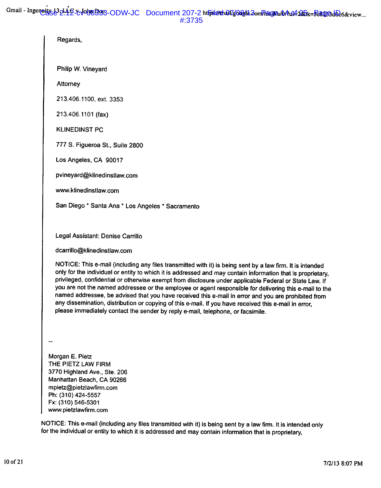| Regards,                                                                                                                                                                                                                                                                                                                                                                                                                                                                                                                                                                                                                                                                                                                                        |
|-------------------------------------------------------------------------------------------------------------------------------------------------------------------------------------------------------------------------------------------------------------------------------------------------------------------------------------------------------------------------------------------------------------------------------------------------------------------------------------------------------------------------------------------------------------------------------------------------------------------------------------------------------------------------------------------------------------------------------------------------|
| Philip W. Vineyard                                                                                                                                                                                                                                                                                                                                                                                                                                                                                                                                                                                                                                                                                                                              |
| Attorney                                                                                                                                                                                                                                                                                                                                                                                                                                                                                                                                                                                                                                                                                                                                        |
| 213.406.1100, ext. 3353                                                                                                                                                                                                                                                                                                                                                                                                                                                                                                                                                                                                                                                                                                                         |
| 213.406.1101 (fax)                                                                                                                                                                                                                                                                                                                                                                                                                                                                                                                                                                                                                                                                                                                              |
| <b>KLINEDINST PC</b>                                                                                                                                                                                                                                                                                                                                                                                                                                                                                                                                                                                                                                                                                                                            |
| 777 S. Figueroa St., Suite 2800                                                                                                                                                                                                                                                                                                                                                                                                                                                                                                                                                                                                                                                                                                                 |
| Los Angeles, CA 90017                                                                                                                                                                                                                                                                                                                                                                                                                                                                                                                                                                                                                                                                                                                           |
| pvineyard@klinedinstlaw.com                                                                                                                                                                                                                                                                                                                                                                                                                                                                                                                                                                                                                                                                                                                     |
| www.klinedinstlaw.com                                                                                                                                                                                                                                                                                                                                                                                                                                                                                                                                                                                                                                                                                                                           |
| San Diego * Santa Ana * Los Angeles * Sacramento                                                                                                                                                                                                                                                                                                                                                                                                                                                                                                                                                                                                                                                                                                |
|                                                                                                                                                                                                                                                                                                                                                                                                                                                                                                                                                                                                                                                                                                                                                 |
| Legal Assistant: Denise Carrillo                                                                                                                                                                                                                                                                                                                                                                                                                                                                                                                                                                                                                                                                                                                |
| dcarrillo@klinedinstlaw.com                                                                                                                                                                                                                                                                                                                                                                                                                                                                                                                                                                                                                                                                                                                     |
| NOTICE: This e-mail (including any files transmitted with it) is being sent by a law firm. It is intended<br>only for the individual or entity to which it is addressed and may contain information that is proprietary,<br>privileged, confidential or otherwise exempt from disclosure under applicable Federal or State Law. If<br>you are not the named addressee or the employee or agent responsible for delivering this e-mail to the<br>named addressee, be advised that you have received this e-mail in error and you are prohibited from<br>any dissemination, distribution or copying of this e-mail. If you have received this e-mail in error,<br>please immediately contact the sender by reply e-mail, telephone, or facsimile. |
| Morgan E. Pietz                                                                                                                                                                                                                                                                                                                                                                                                                                                                                                                                                                                                                                                                                                                                 |
| THE PIETZ LAW FIRM<br>3770 Highland Ave., Ste. 206                                                                                                                                                                                                                                                                                                                                                                                                                                                                                                                                                                                                                                                                                              |
| Manhattan Beach, CA 90266<br>mpietz@pietzlawfirm.com                                                                                                                                                                                                                                                                                                                                                                                                                                                                                                                                                                                                                                                                                            |
| Ph: (310) 424-5557                                                                                                                                                                                                                                                                                                                                                                                                                                                                                                                                                                                                                                                                                                                              |
| Fx: (310) 546-5301<br>www.pietzlawfirm.com                                                                                                                                                                                                                                                                                                                                                                                                                                                                                                                                                                                                                                                                                                      |

NOTICE: This e-mail (including any files transmitted with it) is being sent by a law firm. It is intended only for the individual or entity to which it is addressed and may contain information that is proprietary,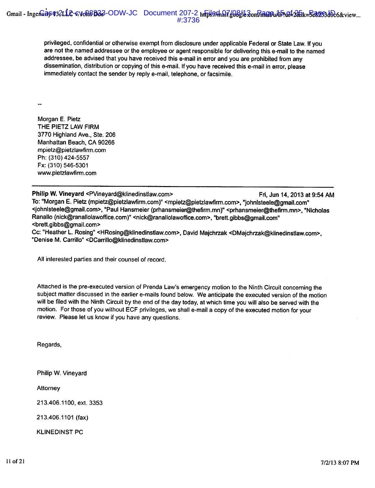privileged, confidential or otherwise exempt from disclosure under applicable Federal or State Law. If you are not the named addressee or the employee or agent responsible for delivering this e-mail to the named addressee, be advised that you have received this e-mail in error and you are prohibited from any dissemination, distribution or copying of this e-mail. If you have received this e-mail in error, please immediately contact the sender by reply e-mail, telephone, or facsimile.

Morgan E. Pietz THE PIETZ LAW FIRM 3770 Highland Ave., Ste. 206 Manhattan Beach, CA 90266 mpietz@pietzlawfirm.com Ph: (310) 424-5557 Fx: (310) 546-5301 www.pietzlawfirm.com

Philip W. Vineyard <PVineyard@klinedinstlaw.com> Fri, Jun 14, 2013 at 9:54 AM To: "Morgan E. Pietz (mpietz@pietzlawfirm.com)" <mpietz@pietzlawfirm.com>, "johnisteele@gmail.com" <iohnisteele@gmail.com>, "Paul Hansmeier (prhansmeier@thefirm.mn)" <prhansmeier@thefirm.mn>, "Nicholas Ranallo (nick@ranallolawoffice.com)" <nick@ranallolawoffice.com>, "brett.gibbs@gmail.com" <brett.gibbs@gmail.com> Cc: "Heather L. Rosing" <HRosing@klinedinstlaw.com>, David Majchrzak <DMajchrzak@klinedinstlaw.com>, "Denise M. Carrillo" <DCarrillo@klinedinstlaw.com>

All interested parties and their counsel of record,

Attached is the pre-executed version of Prenda Law's emergency motion to the Ninth Circuit concerning the subject matter discussed in the earlier e-mails found below. We anticipate the executed version of the motion will be filed with the Ninth Circuit by the end of the day today, at which time you will also be served with the motion. For those of you without ECF privileges, we shall e-mail a copy of the executed motion for your review. Please let us know if you have any questions.

Regards,

Philip W. Vineyard

Attorney

213.406.1100, ext. 3353

213.406.1101 (fax)

**KLINEDINST PC**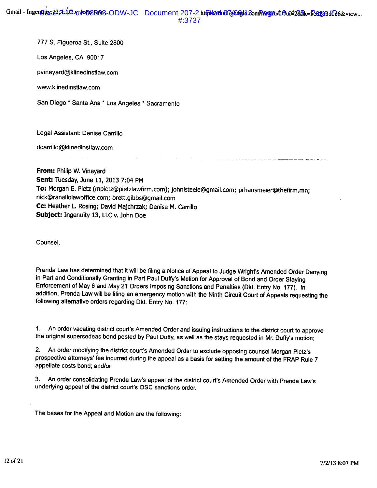Gmail - Ingentitus b3 2:12 - volu8003-ODW-JC Document 207-2 https://datil/datil.com/haaj/a/0/04225k=5e8203d0e6&view... #:3737

777 S. Figueroa St., Suite 2800

Los Angeles, CA 90017

pvineyard@klinedinstlaw.com

www.klinedinstlaw.com

San Diego \* Santa Ana \* Los Angeles \* Sacramento

Legal Assistant: Denise Carrillo

dcarrillo@klinedinstlaw.com

From: Philip W. Vineyard Sent: Tuesday, June 11, 2013 7:04 PM To: Morgan E. Pietz (mpietz@pietzlawfirm.com); johnlsteele@gmail.com; prhansmeier@thefirm.mn; nick@ranallolawoffice.com; brett.gibbs@qmail.com Cc: Heather L. Rosing; David Majchrzak; Denise M. Carrillo Subject: Ingenuity 13, LLC v. John Doe

Counsel.

Prenda Law has determined that it will be filing a Notice of Appeal to Judge Wright's Amended Order Denying in Part and Conditionally Granting in Part Paul Duffy's Motion for Approval of Bond and Order Staying Enforcement of May 6 and May 21 Orders Imposing Sanctions and Penalties (Dkt. Entry No. 177). In addition, Prenda Law will be filing an emergency motion with the Ninth Circuit Court of Appeals requesting the following alternative orders regarding Dkt. Entry No. 177:

1. An order vacating district court's Amended Order and issuing instructions to the district court to approve the original supersedeas bond posted by Paul Duffy, as well as the stays requested in Mr. Duffy's motion;

2. An order modifying the district court's Amended Order to exclude opposing counsel Morgan Pietz's prospective attorneys' fee incurred during the appeal as a basis for setting the amount of the FRAP Rule 7 appellate costs bond; and/or

3. An order consolidating Prenda Law's appeal of the district court's Amended Order with Prenda Law's underlying appeal of the district court's OSC sanctions order.

The bases for the Appeal and Motion are the following: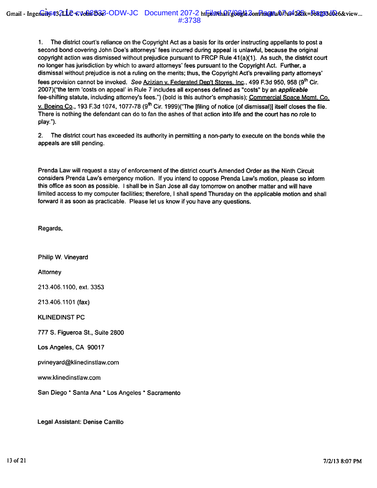The district court's reliance on the Copyright Act as a basis for its order instructing appellants to post a  $1.$ second bond covering John Doe's attorneys' fees incurred during appeal is unlawful, because the original copyright action was dismissed without prejudice pursuant to FRCP Rule 41(a)(1). As such, the district court no longer has jurisdiction by which to award attorneys' fees pursuant to the Copyright Act. Further, a dismissal without prejudice is not a ruling on the merits; thus, the Copyright Act's prevailing party attorneys' fees provision cannot be invoked. See Azizian v. Federated Dep't Stores. Inc., 499 F.3d 950, 958 (9th Cir. 2007)("the term 'costs on appeal' in Rule 7 includes all expenses defined as "costs" by an applicable fee-shifting statute, including attorney's fees.") (bold is this author's emphasis); Commercial Space Mgmt. Co. v. Boeing Co., 193 F.3d 1074, 1077-78 (9<sup>th</sup> Cir. 1999)("The ffiling of notice (of dismissal)] itself closes the file. There is nothing the defendant can do to fan the ashes of that action into life and the court has no role to play.").

2. The district court has exceeded its authority in permitting a non-party to execute on the bonds while the appeals are still pending.

Prenda Law will request a stay of enforcement of the district court's Amended Order as the Ninth Circuit considers Prenda Law's emergency motion. If you intend to oppose Prenda Law's motion, please so inform this office as soon as possible. I shall be in San Jose all day tomorrow on another matter and will have limited access to my computer facilities; therefore, I shall spend Thursday on the applicable motion and shall forward it as soon as practicable. Please let us know if you have any questions.

Regards,

Philip W. Vinevard

Attorney

213.406.1100. ext. 3353

213.406.1101 (fax)

**KLINEDINST PC** 

777 S. Figueroa St., Suite 2800

Los Angeles, CA 90017

pvineyard@klinedinstlaw.com

www.klinedinstlaw.com

San Diego \* Santa Ana \* Los Angeles \* Sacramento

Legal Assistant: Denise Carrillo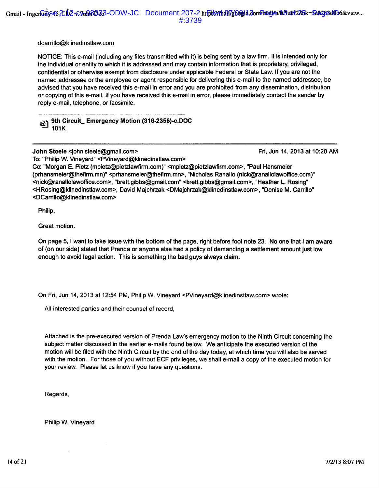dcarrillo@klinedinstlaw.com

NOTICE: This e-mail (including any files transmitted with it) is being sent by a law firm. It is intended only for the individual or entity to which it is addressed and may contain information that is proprietary, privileged, confidential or otherwise exempt from disclosure under applicable Federal or State Law. If you are not the named addressee or the employee or agent responsible for delivering this e-mail to the named addressee, be advised that you have received this e-mail in error and you are prohibited from any dissemination, distribution or copying of this e-mail. If you have received this e-mail in error, please immediately contact the sender by reply e-mail, telephone, or facsimile.

9th Circuit\_ Emergency Motion (316-2356)-c.DOC 画 101K

John Steele <johnlsteele@gmail.com>

Fri, Jun 14, 2013 at 10:20 AM

To: "Philip W. Vineyard" <PVineyard@klinedinstlaw.com> Cc: "Morgan E. Pietz (mpietz@pietzlawfirm.com)" <mpietz@pietzlawfirm.com>, "Paul Hansmeier (prhansmeier@thefirm.mn)" <prhansmeier@thefirm.mn>, "Nicholas Ranallo (nick@ranallolawoffice.com)" <nick@ranallolawoffice.com>, "brett.gibbs@gmail.com" <brett.gibbs@gmail.com>, "Heather L. Rosing" <HRosing@klinedinstlaw.com>, David Majchrzak <DMajchrzak@klinedinstlaw.com>, "Denise M. Carrillo" <DCarrillo@klinedinstlaw.com>

Philip,

Great motion.

On page 5, I want to take issue with the bottom of the page, right before foot note 23. No one that I am aware of (on our side) stated that Prenda or anyone else had a policy of demanding a settlement amount just low enough to avoid legal action. This is something the bad guys always claim.

On Fri, Jun 14, 2013 at 12:54 PM, Philip W. Vineyard <PVineyard@klinedinstlaw.com> wrote:

All interested parties and their counsel of record,

Attached is the pre-executed version of Prenda Law's emergency motion to the Ninth Circuit concerning the subject matter discussed in the earlier e-mails found below. We anticipate the executed version of the motion will be filed with the Ninth Circuit by the end of the day today, at which time you will also be served with the motion. For those of you without ECF privileges, we shall e-mail a copy of the executed motion for your review. Please let us know if you have any questions.

Regards,

Philip W. Vineyard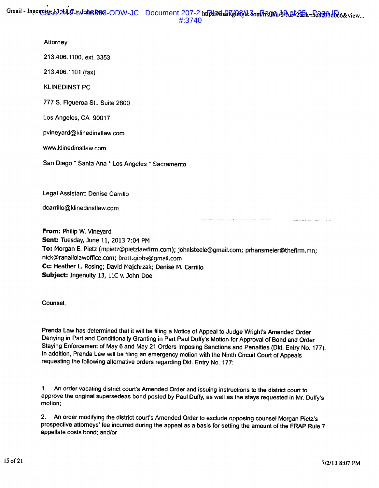#### Attorney

213.406.1100, ext. 3353

213.406.1101 (fax)

**KLINEDINST PC** 

777 S. Figueroa St., Suite 2800

Los Angeles, CA 90017

pvineyard@klinedinstlaw.com

www.klinedinstlaw.com

San Diego \* Santa Ana \* Los Angeles \* Sacramento

Legal Assistant: Denise Carrillo

dcarrillo@klinedinstlaw.com

From: Philip W. Vineyard Sent: Tuesday, June 11, 2013 7:04 PM To: Morgan E. Pietz (mpietz@pietzlawfirm.com); johnlsteele@gmail.com; prhansmeier@thefirm.mn; nick@ranallolawoffice.com; brett.gibbs@gmail.com Cc: Heather L. Rosing; David Majchrzak; Denise M. Carrillo Subject: Ingenuity 13, LLC v. John Doe

Counsel,

Prenda Law has determined that it will be filing a Notice of Appeal to Judge Wright's Amended Order Denying in Part and Conditionally Granting in Part Paul Duffy's Motion for Approval of Bond and Order Staying Enforcement of May 6 and May 21 Orders Imposing Sanctions and Penalties (Dkt. Entry No. 177). In addition, Prenda Law will be filing an emergency motion with the Ninth Circuit Court of Appeals requesting the following alternative orders regarding Dkt. Entry No. 177:

1. An order vacating district court's Amended Order and issuing instructions to the district court to approve the original supersedeas bond posted by Paul Duffy, as well as the stays requested in Mr. Duffy's motion;

 $2.$ An order modifying the district court's Amended Order to exclude opposing counsel Morgan Pietz's prospective attorneys' fee incurred during the appeal as a basis for setting the amount of the FRAP Rule 7 appellate costs bond; and/or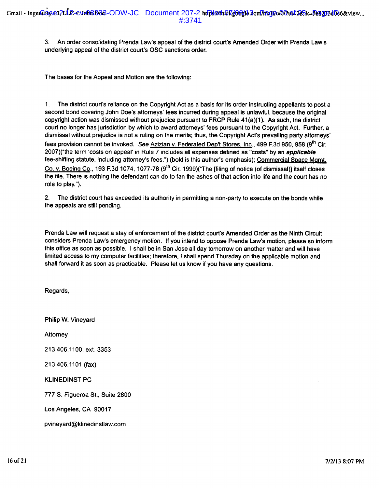3. An order consolidating Prenda Law's appeal of the district court's Amended Order with Prenda Law's underlying appeal of the district court's OSC sanctions order.

The bases for the Appeal and Motion are the following:

 $1.$ The district court's reliance on the Copyright Act as a basis for its order instructing appellants to post a second bond covering John Doe's attorneys' fees incurred during appeal is unlawful, because the original copyright action was dismissed without prejudice pursuant to FRCP Rule 41(a)(1). As such, the district court no longer has jurisdiction by which to award attorneys' fees pursuant to the Copyright Act. Further, a dismissal without prejudice is not a ruling on the merits; thus, the Copyright Act's prevailing party attorneys' fees provision cannot be invoked. See Azizian v. Federated Dep't Stores, Inc., 499 F.3d 950, 958 (9th Cir. 2007)("the term 'costs on appeal' in Rule 7 includes all expenses defined as "costs" by an applicable fee-shifting statute, including attorney's fees.") (bold is this author's emphasis); Commercial Space Mgmt. Co. v. Boeing Co., 193 F.3d 1074, 1077-78 (9<sup>th</sup> Cir. 1999)("The [filing of notice (of dismissal)] itself closes the file. There is nothing the defendant can do to fan the ashes of that action into life and the court has no role to play.").

2. The district court has exceeded its authority in permitting a non-party to execute on the bonds while the appeals are still pending.

Prenda Law will request a stay of enforcement of the district court's Amended Order as the Ninth Circuit considers Prenda Law's emergency motion. If you intend to oppose Prenda Law's motion, please so inform this office as soon as possible. I shall be in San Jose all day tomorrow on another matter and will have limited access to my computer facilities; therefore, I shall spend Thursday on the applicable motion and shall forward it as soon as practicable. Please let us know if you have any questions.

Regards,

Philip W. Vineyard Attorney 213.406.1100, ext. 3353 213.406.1101 (fax) **KLINEDINST PC** 777 S. Figueroa St., Suite 2800 Los Angeles, CA 90017 pvineyard@klinedinstlaw.com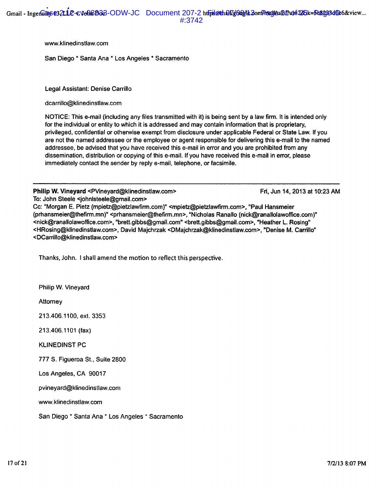www.klinedinstlaw.com

San Diego \* Santa Ana \* Los Angeles \* Sacramento

Legal Assistant: Denise Carrillo

dcarrillo@klinedinstlaw.com

NOTICE: This e-mail (including any files transmitted with it) is being sent by a law firm. It is intended only for the individual or entity to which it is addressed and may contain information that is proprietary, privileged, confidential or otherwise exempt from disclosure under applicable Federal or State Law. If you are not the named addressee or the employee or agent responsible for delivering this e-mail to the named addressee, be advised that you have received this e-mail in error and you are prohibited from any dissemination, distribution or copying of this e-mail. If you have received this e-mail in error, please immediately contact the sender by reply e-mail, telephone, or facsimile.

Philip W. Vineyard <PVineyard@klinedinstlaw.com> Fri, Jun 14, 2013 at 10:23 AM To: John Steele <iohnIsteele@gmail.com>

Cc: "Morgan E. Pietz (mpietz@pietzlawfirm.com)" <mpietz@pietzlawfirm.com>, "Paul Hansmeier (prhansmeier@thefirm.mn)" <prhansmeier@thefirm.mn>, "Nicholas Ranallo (nick@ranallolawoffice.com)" <nick@ranallolawoffice.com>, "brett.gibbs@gmail.com" <brett.gibbs@gmail.com>, "Heather L. Rosing" <HRosing@klinedinstlaw.com>, David Majchrzak <DMajchrzak@klinedinstlaw.com>, "Denise M. Carrillo" <DCarrillo@klinedinstlaw.com>

Thanks, John. I shall amend the motion to reflect this perspective.

Philip W. Vineyard

Attorney

213.406.1100, ext. 3353

213.406.1101 (fax)

**KLINEDINST PC** 

777 S. Figueroa St., Suite 2800

Los Angeles, CA 90017

pvineyard@klinedinstlaw.com

www.klinedinstlaw.com

San Diego \* Santa Ana \* Los Angeles \* Sacramento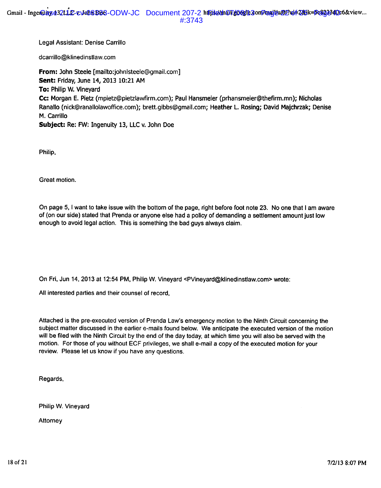Legal Assistant: Denise Carrillo

dcarrillo@klinedinstlaw.com

From: John Steele [mailto:johnlsteele@gmail.com] Sent: Friday, June 14, 2013 10:21 AM To: Philip W. Vinevard Cc: Morgan E. Pietz (mpietz@pietzlawfirm.com); Paul Hansmeier (prhansmeier@thefirm.mn); Nicholas Ranallo (nick@ranallolawoffice.com); brett.gibbs@gmail.com; Heather L. Rosing; David Majchrzak; Denise M. Carrillo Subject: Re: FW: Ingenuity 13, LLC v. John Doe

Philip,

Great motion.

On page 5, I want to take issue with the bottom of the page, right before foot note 23. No one that I am aware of (on our side) stated that Prenda or anyone else had a policy of demanding a settlement amount just low enough to avoid legal action. This is something the bad guys always claim.

On Fri, Jun 14, 2013 at 12:54 PM, Philip W. Vineyard <PVineyard@klinedinstlaw.com> wrote:

All interested parties and their counsel of record,

Attached is the pre-executed version of Prenda Law's emergency motion to the Ninth Circuit concerning the subject matter discussed in the earlier e-mails found below. We anticipate the executed version of the motion will be filed with the Ninth Circuit by the end of the day today, at which time you will also be served with the motion. For those of you without ECF privileges, we shall e-mail a copy of the executed motion for your review. Please let us know if you have any questions.

Regards,

Philip W. Vineyard

Attorney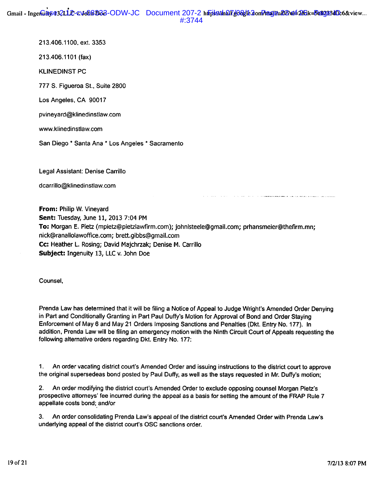213.406.1100, ext. 3353

213.406.1101 (fax)

**KLINEDINST PC** 

777 S. Figueroa St., Suite 2800

Los Angeles, CA 90017

pvineyard@klinedinstlaw.com

www.klinedinstlaw.com

San Diego \* Santa Ana \* Los Angeles \* Sacramento

Legal Assistant: Denise Carrillo

dcarrillo@klinedinstlaw.com

From: Philip W. Vineyard Sent: Tuesday, June 11, 2013 7:04 PM To: Morgan E. Pietz (mpietz@pietzlawfirm.com); johnlsteele@qmail.com; prhansmeier@thefirm.mn; nick@ranallolawoffice.com; brett.gibbs@gmail.com Cc: Heather L. Rosing; David Majchrzak; Denise M. Carrillo Subject: Ingenuity 13, LLC v. John Doe

Counsel.

Prenda Law has determined that it will be filing a Notice of Appeal to Judge Wright's Amended Order Denving in Part and Conditionally Granting in Part Paul Duffy's Motion for Approval of Bond and Order Staying Enforcement of May 6 and May 21 Orders Imposing Sanctions and Penalties (Dkt. Entry No. 177). In addition, Prenda Law will be filing an emergency motion with the Ninth Circuit Court of Appeals requesting the following alternative orders regarding Dkt. Entry No. 177:

 $1<sub>1</sub>$ An order vacating district court's Amended Order and issuing instructions to the district court to approve the original supersedeas bond posted by Paul Duffy, as well as the stays requested in Mr. Duffy's motion;

An order modifying the district court's Amended Order to exclude opposing counsel Morgan Pietz's  $2.$ prospective attorneys' fee incurred during the appeal as a basis for setting the amount of the FRAP Rule 7 appellate costs bond; and/or

An order consolidating Prenda Law's appeal of the district court's Amended Order with Prenda Law's  $3.$ underlying appeal of the district court's OSC sanctions order.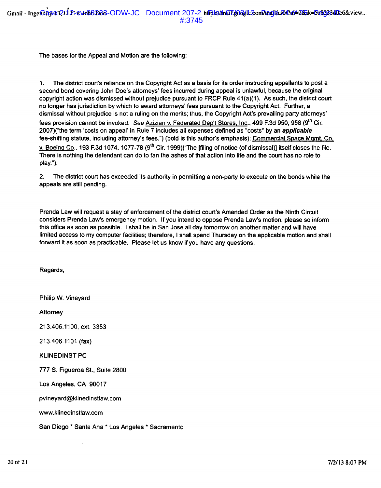The bases for the Appeal and Motion are the following:

The district court's reliance on the Copyright Act as a basis for its order instructing appellants to post a  $1<sub>1</sub>$ second bond covering John Doe's attorneys' fees incurred during appeal is unlawful, because the original copyright action was dismissed without prejudice pursuant to FRCP Rule 41(a)(1). As such, the district court no longer has jurisdiction by which to award attorneys' fees pursuant to the Copyright Act. Further, a dismissal without prejudice is not a ruling on the merits; thus, the Copyright Act's prevailing party attorneys' fees provision cannot be invoked. See Azizian v. Federated Dep't Stores, Inc., 499 F.3d 950, 958 (9th Cir. 2007)("the term 'costs on appeal' in Rule 7 includes all expenses defined as "costs" by an applicable fee-shifting statute, including attorney's fees.") (bold is this author's emphasis); Commercial Space Mgmt, Co. v. Boeing Co., 193 F.3d 1074, 1077-78 (9<sup>th</sup> Cir. 1999)("The [filing of notice (of dismissal)] itself closes the file. There is nothing the defendant can do to fan the ashes of that action into life and the court has no role to play.").

 $2<sub>1</sub>$ The district court has exceeded its authority in permitting a non-party to execute on the bonds while the appeals are still pending.

Prenda Law will request a stay of enforcement of the district court's Amended Order as the Ninth Circuit considers Prenda Law's emergency motion. If you intend to oppose Prenda Law's motion, please so inform this office as soon as possible. I shall be in San Jose all day tomorrow on another matter and will have limited access to my computer facilities; therefore, I shall spend Thursday on the applicable motion and shall forward it as soon as practicable. Please let us know if you have any questions.

Regards.

Philip W. Vineyard Attorney 213.406.1100, ext. 3353 213.406.1101 (fax) **KLINEDINST PC** 777 S. Figueroa St., Suite 2800 Los Angeles, CA 90017 pvineyard@klinedinstlaw.com www.klinedinstlaw.com San Diego \* Santa Ana \* Los Angeles \* Sacramento